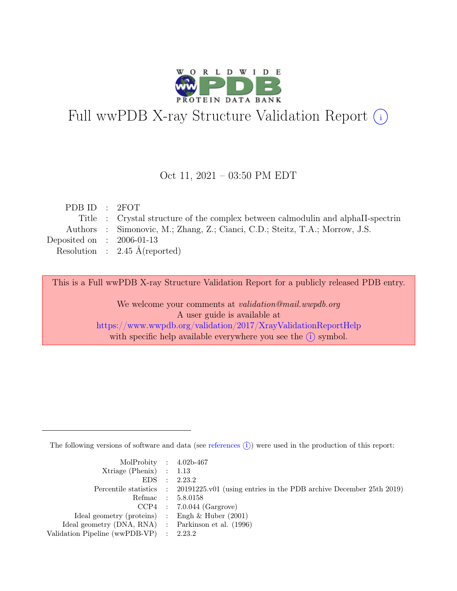

# Full wwPDB X-ray Structure Validation Report  $(i)$

#### Oct 11, 2021 – 03:50 PM EDT

| PDB ID : 2FOT               |                                                                                  |
|-----------------------------|----------------------------------------------------------------------------------|
|                             | Title : Crystal structure of the complex between calmodulin and alphaII-spectrin |
|                             | Authors : Simonovic, M.; Zhang, Z.; Cianci, C.D.; Steitz, T.A.; Morrow, J.S.     |
| Deposited on : $2006-01-13$ |                                                                                  |
|                             | Resolution : $2.45 \text{ Å}$ (reported)                                         |
|                             |                                                                                  |

This is a Full wwPDB X-ray Structure Validation Report for a publicly released PDB entry.

We welcome your comments at validation@mail.wwpdb.org A user guide is available at <https://www.wwpdb.org/validation/2017/XrayValidationReportHelp> with specific help available everywhere you see the  $(i)$  symbol.

The following versions of software and data (see [references](https://www.wwpdb.org/validation/2017/XrayValidationReportHelp#references)  $(i)$ ) were used in the production of this report:

| MolProbity : $4.02b-467$                            |                                                                                            |
|-----------------------------------------------------|--------------------------------------------------------------------------------------------|
| $Xtriangle (Phenix)$ : 1.13                         |                                                                                            |
|                                                     | EDS : 2.23.2                                                                               |
|                                                     | Percentile statistics : 20191225.v01 (using entries in the PDB archive December 25th 2019) |
|                                                     | Refmac : 5.8.0158                                                                          |
|                                                     | $CCP4$ : 7.0.044 (Gargrove)                                                                |
| Ideal geometry (proteins) : Engh $\&$ Huber (2001)  |                                                                                            |
| Ideal geometry (DNA, RNA) : Parkinson et al. (1996) |                                                                                            |
| Validation Pipeline (wwPDB-VP) : 2.23.2             |                                                                                            |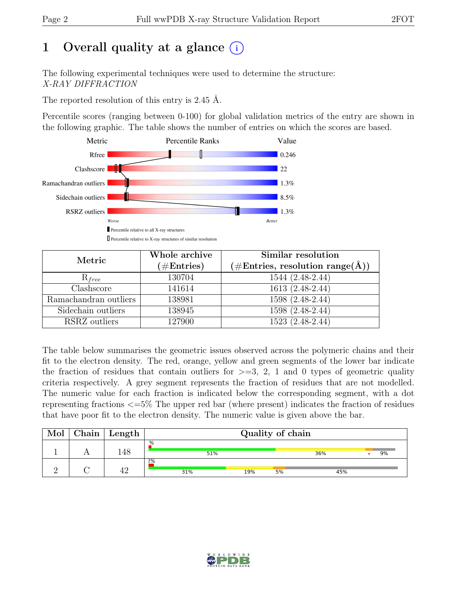# 1 Overall quality at a glance  $(i)$

The following experimental techniques were used to determine the structure: X-RAY DIFFRACTION

The reported resolution of this entry is 2.45 Å.

Percentile scores (ranging between 0-100) for global validation metrics of the entry are shown in the following graphic. The table shows the number of entries on which the scores are based.



| Metric                | Whole archive<br>$(\#\text{Entries})$ | Similar resolution<br>$(\# \text{Entries}, \text{ resolution } \text{range}(\AA))$ |
|-----------------------|---------------------------------------|------------------------------------------------------------------------------------|
| $R_{free}$            | 130704                                | 1544 (2.48-2.44)                                                                   |
| Clashscore            | 141614                                | 1613 (2.48-2.44)                                                                   |
| Ramachandran outliers | 138981                                | $1598(2.48-2.44)$                                                                  |
| Sidechain outliers    | 138945                                | 1598 (2.48-2.44)                                                                   |
| RSRZ outliers         | 127900                                | 1523 (2.48-2.44)                                                                   |

The table below summarises the geometric issues observed across the polymeric chains and their fit to the electron density. The red, orange, yellow and green segments of the lower bar indicate the fraction of residues that contain outliers for  $\geq$ =3, 2, 1 and 0 types of geometric quality criteria respectively. A grey segment represents the fraction of residues that are not modelled. The numeric value for each fraction is indicated below the corresponding segment, with a dot representing fractions <=5% The upper red bar (where present) indicates the fraction of residues that have poor fit to the electron density. The numeric value is given above the bar.

| Mol | ${\rm Chain}$ | $^{\shortmid}$ Length $_{\shortmid}$ |           | Quality of chain |    |     |    |
|-----|---------------|--------------------------------------|-----------|------------------|----|-----|----|
|     |               | l48                                  | %<br>51%  |                  |    | 36% | 9% |
|     |               |                                      | 2%<br>31% | 19%              | 5% | 45% |    |

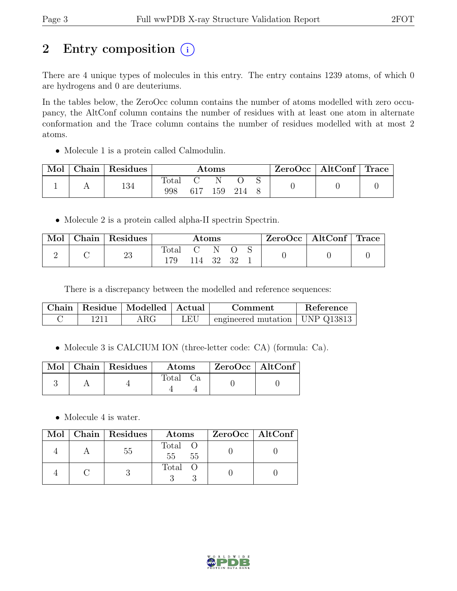# 2 Entry composition  $(i)$

There are 4 unique types of molecules in this entry. The entry contains 1239 atoms, of which 0 are hydrogens and 0 are deuteriums.

In the tables below, the ZeroOcc column contains the number of atoms modelled with zero occupancy, the AltConf column contains the number of residues with at least one atom in alternate conformation and the Trace column contains the number of residues modelled with at most 2 atoms.

• Molecule 1 is a protein called Calmodulin.

| Mol | ${\rm Chain}$ | <sup>1</sup> Residues |       | $\rm{Atoms}$ |  | $\rm ZeroOcc$   Alt $\rm Conf$   Trace |  |
|-----|---------------|-----------------------|-------|--------------|--|----------------------------------------|--|
|     |               | 134                   | Total |              |  |                                        |  |
|     |               |                       | 998   | 159          |  |                                        |  |

• Molecule 2 is a protein called alpha-II spectrin Spectrin.

| Mol | Chain   Residues |                                                          | Atoms  |  | $ZeroOcc \mid AltConf \mid Trace$ |  |
|-----|------------------|----------------------------------------------------------|--------|--|-----------------------------------|--|
|     | 23               | $\begin{array}{ccc} \text{Total} & \text{C} \end{array}$ | 114 32 |  |                                   |  |

There is a discrepancy between the modelled and reference sequences:

|      | Chain   Residue   Modelled   Actual |     | Comment                          | Reference |
|------|-------------------------------------|-----|----------------------------------|-----------|
| 1211 | $\rm{ARG}$                          | LEU | engineered mutation   UNP Q13813 |           |

• Molecule 3 is CALCIUM ION (three-letter code: CA) (formula: Ca).

|  | Mol   Chain   Residues | Atoms | ZeroOcc   AltConf |  |
|--|------------------------|-------|-------------------|--|
|  |                        | Total |                   |  |

• Molecule 4 is water.

|  | Mol   Chain   Residues | Atoms                | ZeroOcc   AltConf |
|--|------------------------|----------------------|-------------------|
|  | .55                    | Total O<br>55<br>-55 |                   |
|  |                        | Total O              |                   |

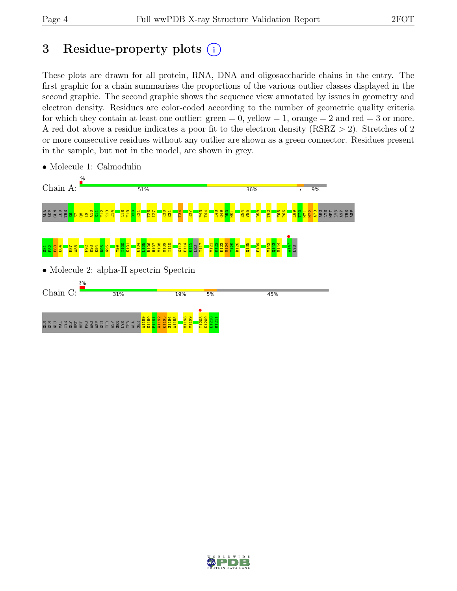ASP

# 3 Residue-property plots  $(i)$

These plots are drawn for all protein, RNA, DNA and oligosaccharide chains in the entry. The first graphic for a chain summarises the proportions of the various outlier classes displayed in the second graphic. The second graphic shows the sequence view annotated by issues in geometry and electron density. Residues are color-coded according to the number of geometric quality criteria for which they contain at least one outlier:  $green = 0$ , yellow  $= 1$ , orange  $= 2$  and red  $= 3$  or more. A red dot above a residue indicates a poor fit to the electron density (RSRZ > 2). Stretches of 2 or more consecutive residues without any outlier are shown as a green connector. Residues present in the sample, but not in the model, are shown in grey.



• Molecule 1: Calmodulin

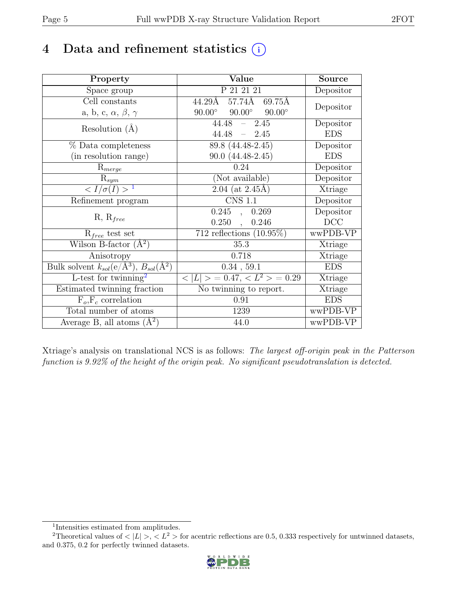# 4 Data and refinement statistics  $(i)$

| Property                                                             | Value                                             | <b>Source</b> |
|----------------------------------------------------------------------|---------------------------------------------------|---------------|
| Space group                                                          | P 21 21 21                                        | Depositor     |
| Cell constants                                                       | $44.29$ Å 57.74Å 69.75Å                           | Depositor     |
| a, b, c, $\alpha$ , $\beta$ , $\gamma$                               | $90.00^{\circ}$<br>$90.00^\circ$<br>$90.00^\circ$ |               |
| Resolution $(A)$                                                     | 44.48<br>$-2.45$                                  | Depositor     |
|                                                                      | 44.48<br>$-2.45$                                  | <b>EDS</b>    |
| % Data completeness                                                  | 89.8 (44.48-2.45)                                 | Depositor     |
| (in resolution range)                                                | $90.0(44.48-2.45)$                                | <b>EDS</b>    |
| $R_{merge}$                                                          | 0.24                                              | Depositor     |
| $\mathrm{R}_{sym}$                                                   | (Not available)                                   | Depositor     |
| $\langle I/\sigma(I)\rangle^{-1}$                                    | $2.04$ (at 2.45Å)                                 | Xtriage       |
| Refinement program                                                   | <b>CNS 1.1</b>                                    | Depositor     |
|                                                                      | $0.245$ , $0.269$                                 | Depositor     |
| $R, R_{free}$                                                        | 0.250,<br>0.246                                   | DCC           |
| $R_{free}$ test set                                                  | 712 reflections $(10.95\%)$                       | wwPDB-VP      |
| Wilson B-factor $(A^2)$                                              | 35.3                                              | Xtriage       |
| Anisotropy                                                           | 0.718                                             | Xtriage       |
| Bulk solvent $k_{sol}(e/\mathring{A}^3)$ , $B_{sol}(\mathring{A}^2)$ | $0.34$ , 59.1                                     | <b>EDS</b>    |
| L-test for $\mathrm{twinning}^2$                                     | $< L >$ = 0.47, $< L2 >$ = 0.29                   | Xtriage       |
| Estimated twinning fraction                                          | No twinning to report.                            | Xtriage       |
| $\overline{F_o,F_c}$ correlation                                     | 0.91                                              | <b>EDS</b>    |
| Total number of atoms                                                | 1239                                              | wwPDB-VP      |
| Average B, all atoms $(A^2)$                                         | 44.0                                              | wwPDB-VP      |

Xtriage's analysis on translational NCS is as follows: The largest off-origin peak in the Patterson function is 9.92% of the height of the origin peak. No significant pseudotranslation is detected.

<sup>&</sup>lt;sup>2</sup>Theoretical values of  $\langle |L| \rangle$ ,  $\langle L^2 \rangle$  for acentric reflections are 0.5, 0.333 respectively for untwinned datasets, and 0.375, 0.2 for perfectly twinned datasets.



<span id="page-4-1"></span><span id="page-4-0"></span><sup>1</sup> Intensities estimated from amplitudes.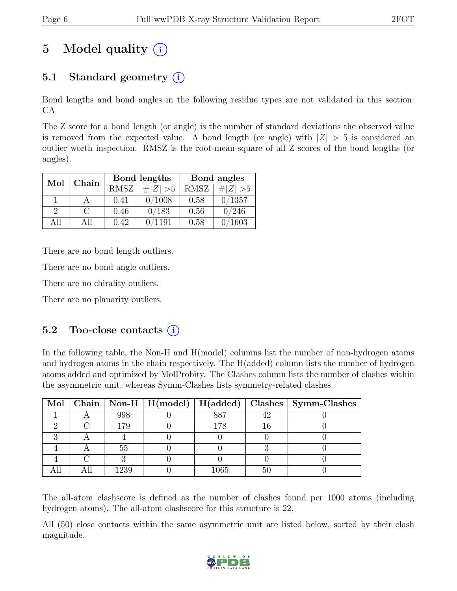# 5 Model quality  $(i)$

## 5.1 Standard geometry  $(i)$

Bond lengths and bond angles in the following residue types are not validated in this section: CA

The Z score for a bond length (or angle) is the number of standard deviations the observed value is removed from the expected value. A bond length (or angle) with  $|Z| > 5$  is considered an outlier worth inspection. RMSZ is the root-mean-square of all Z scores of the bond lengths (or angles).

| Mol           | Chain  |             | Bond lengths | Bond angles |             |  |
|---------------|--------|-------------|--------------|-------------|-------------|--|
|               |        | <b>RMSZ</b> | # $ Z  > 5$  | RMSZ        | # $ Z  > 5$ |  |
|               |        | 0.41        | 0/1008       | 0.58        | 0/1357      |  |
| $\mathcal{D}$ | $\cap$ | 0.46        | 0/183        | 0.56        | 0/246       |  |
| All           | All    | 0.42        | 1191         | 0.58        | 1603        |  |

There are no bond length outliers.

There are no bond angle outliers.

There are no chirality outliers.

There are no planarity outliers.

### 5.2 Too-close contacts  $(i)$

In the following table, the Non-H and H(model) columns list the number of non-hydrogen atoms and hydrogen atoms in the chain respectively. The H(added) column lists the number of hydrogen atoms added and optimized by MolProbity. The Clashes column lists the number of clashes within the asymmetric unit, whereas Symm-Clashes lists symmetry-related clashes.

|  |      |      |    | Mol   Chain   Non-H   H(model)   H(added)   Clashes   Symm-Clashes |
|--|------|------|----|--------------------------------------------------------------------|
|  | 998  | 887  |    |                                                                    |
|  | 179  | 78   |    |                                                                    |
|  |      |      |    |                                                                    |
|  | 55   |      |    |                                                                    |
|  |      |      |    |                                                                    |
|  | 1239 | 1065 | 50 |                                                                    |

The all-atom clashscore is defined as the number of clashes found per 1000 atoms (including hydrogen atoms). The all-atom clashscore for this structure is 22.

All (50) close contacts within the same asymmetric unit are listed below, sorted by their clash magnitude.

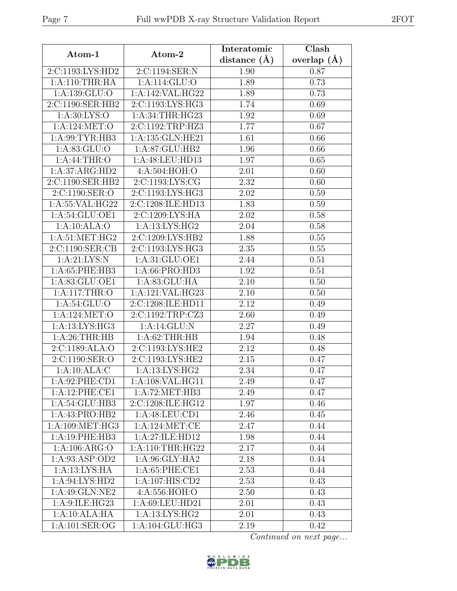| Atom-1                     | Atom-2                        | Interatomic<br>distance $(\AA)$ | Clash<br>overlap $(A)$ |
|----------------------------|-------------------------------|---------------------------------|------------------------|
| 2:C:1193:LYS:HD2           | 2:C:1194:SER:N                | 1.90                            | 0.87                   |
| 1: A:110:THR:HA            | 1:A:114:GLU:O                 | 1.89                            | 0.73                   |
| $1:\overline{A:139:GLU:O}$ | 1:A:142:VAL:HG22              | 1.89                            | 0.73                   |
| 2:C:1190:SER:HB2           | 2:C:1193:LYS:HG3              | 1.74                            | 0.69                   |
| 1: A:30: LYS:O             | 1: A:34:THR:HG23              | 1.92                            | 0.69                   |
| 1:A:124:MET:O              | 2:C:1192:TRP:HZ3              | 1.77                            | 0.67                   |
| 1:A:99:TYR:HB3             | 1:A:135:GLN:HE21              | 1.61                            | 0.66                   |
| 1: A:83: GLU:O             | 1:A:87:GLU:HB2                | 1.96                            | 0.66                   |
| 1: A:44:THR:O              | 1:A:48:LEU:HD13               | 1.97                            | 0.65                   |
| 1:A:37:ARG:HD2             | 4:A:504:HOH:O                 | 2.01                            | 0.60                   |
| 2:C:1190:SER:HB2           | 2:C:1193:LYS:CG               | 2.32                            | 0.60                   |
| 2:C:1190:SER:O             | 2:C:1193:LYS:HG3              | 2.02                            | 0.59                   |
| 1:A:55:VAL:HG22            | 2:C:1208:ILE:HD13             | 1.83                            | 0.59                   |
| 1: A:54: GLU:OE1           | 2:C:1209:LYS:HA               | 2.02                            | 0.58                   |
| 1:A:10:ALA:O               | 1:A:13:LYS:HG2                | 2.04                            | 0.58                   |
| 1: A:51: MET:HG2           | 2:C:1209:LYS:HB2              | 1.88                            | 0.55                   |
| 2:C:1190:SER:CB            | $2:C:1193:LYS:H\overline{G3}$ | 2.35                            | 0.55                   |
| 1: A:21: LYS:N             | 1:A:31:GLU:OE1                | 2.44                            | 0.51                   |
| 1: A:65:PHE:HB3            | 1:A:66:PRO:HD3                | 1.92                            | 0.51                   |
| 1: A:83: GLU:OE1           | 1: A:83: GLU: HA              | $\overline{2.10}$               | 0.50                   |
| 1: A:117:THR:O             | 1:A:121:VAL:HG23              | 2.10                            | 0.50                   |
| 1: A:54: GLU:O             | 2:C:1208:ILE:HD11             | 2.12                            | 0.49                   |
| 1:A:124:MET:O              | 2:C:1192:TRP:CZ3              | 2.60                            | 0.49                   |
| 1:A:13:LYS:HG3             | 1:A:14:GLU:N                  | 2.27                            | 0.49                   |
| 1: A:26:THR:HB             | 1: A:62:THR:HB                | 1.94                            | 0.48                   |
| 2:C:1189:ALA:O             | 2:C:1193:LYS:HE2              | 2.12                            | 0.48                   |
| 2:C:1190:SER:O             | 2:C:1193:LYS:HE2              | 2.15                            | 0.47                   |
| 1:A:10:ALA:C               | 1:A:13:LYS:HG2                | 2.34                            | 0.47                   |
| 1:A:92:PHE:CD1             | 1:A:108:VAL:HG11              | 2.49                            | 0.47                   |
| 1:A:12:PHE:CE1             | 1: A:72: MET:HB3              | 2.49                            | 0.47                   |
| 1:A:54:GLU:HB3             | 2:C:1208:ILE:HG12             | 1.97                            | 0.46                   |
| 1:A:43:PRO:HB2             | 1:A:48:LEU:CD1                | 2.46                            | 0.45                   |
| 1: A: 109: MET: HG3        | 1:A:124:MET:CE                | 2.47                            | 0.44                   |
| 1:A:19:PHE:HB3             | 1:A:27:ILE:HD12               | 1.98                            | 0.44                   |
| 1:A:106:ARG:O              | 1: A:110:THR:HG22             | 2.17                            | 0.44                   |
| 1:A:93:ASP:OD2             | 1:A:96:GLY:HA2                | 2.18                            | 0.44                   |
| 1: A:13:LYS:HA             | 1: A:65:PHE:CE1               | 2.53                            | 0.44                   |
| 1: A:94: LYS: HD2          | 1:A:107:HIS:CD2               | 2.53                            | 0.43                   |
| 1:A:49:GLN:NE2             | 4:A:556:HOH:O                 | $2.50\,$                        | 0.43                   |
| 1:A:9:ILE:HG23             | 1:A:69:LEU:HD21               | 2.01                            | 0.43                   |
| 1:A:10:ALA:HA              | 1:A:13:LYS:HG2                | 2.01                            | 0.43                   |
| 1:A:101:SER:OG             | 1:A:104:GLU:HG3               | 2.19                            | 0.42                   |

Continued on next page...

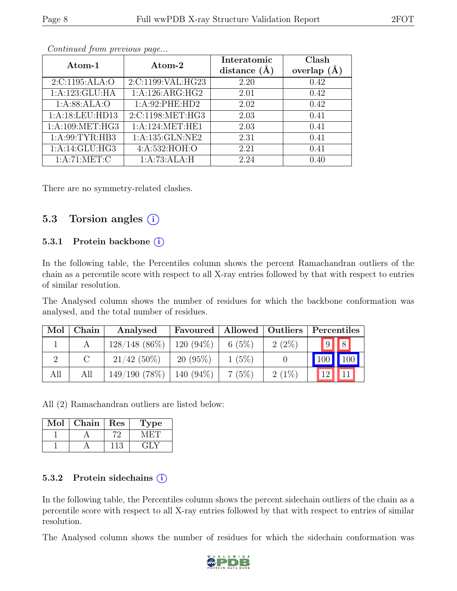|                           |                   | Interatomic      | Clash         |
|---------------------------|-------------------|------------------|---------------|
| Atom-1                    | Atom-2            | distance $(\AA)$ | overlap $(A)$ |
| 2:C:1195:ALA:O            | 2:C:1199:VAL:HG23 | 2.20             | 0.42          |
| 1:A:123:GLU:HA            | 1: A:126: ARG:HG2 | 2.01             | 0.42          |
| 1: A:88: ALA:O            | 1:A:92:PHE:HD2    | 2.02             | 0.42          |
| 1:A:18:LEU:HD13           | 2:C:1198:MET:HG3  | 2.03             | 0.41          |
| 1: A:109: MET:HG3         | 1: A:124: MET:HE1 | 2.03             | 0.41          |
| 1: A:99: TYR: HB3         | 1:A:135:GLN:NE2   | 2.31             | 0.41          |
| 1:A:14:GLU:HG3            | 4:A:532:HOH:O     | 2.21             | 0.41          |
| $1:A:71:MET:\overline{C}$ | 1:A:73:ALA:H      | 2.24             | 0.40          |

Continued from previous page...

There are no symmetry-related clashes.

### 5.3 Torsion angles  $(i)$

#### 5.3.1 Protein backbone (i)

In the following table, the Percentiles column shows the percent Ramachandran outliers of the chain as a percentile score with respect to all X-ray entries followed by that with respect to entries of similar resolution.

The Analysed column shows the number of residues for which the backbone conformation was analysed, and the total number of residues.

| Mol | Chain | Analysed         | Favoured     |          | Allowed   Outliers | Percentiles        |
|-----|-------|------------------|--------------|----------|--------------------|--------------------|
|     |       | $128/148$ (86\%) | $120(94\%)$  | 6(5%)    | $2(2\%)$           | $9$ $8$            |
|     |       | $21/42(50\%)$    | $20(95\%)$   | $1(5\%)$ |                    | 100<br>$\vert$ 100 |
| All | All   | 149/190(78%)     | 140 $(94\%)$ | 7(5%)    | $2(1\%)$           | $1^{\Omega}$       |

All (2) Ramachandran outliers are listed below:

| Mol | Chain | Res | ype |
|-----|-------|-----|-----|
|     |       |     |     |
|     |       |     |     |

#### 5.3.2 Protein sidechains  $(i)$

In the following table, the Percentiles column shows the percent sidechain outliers of the chain as a percentile score with respect to all X-ray entries followed by that with respect to entries of similar resolution.

The Analysed column shows the number of residues for which the sidechain conformation was

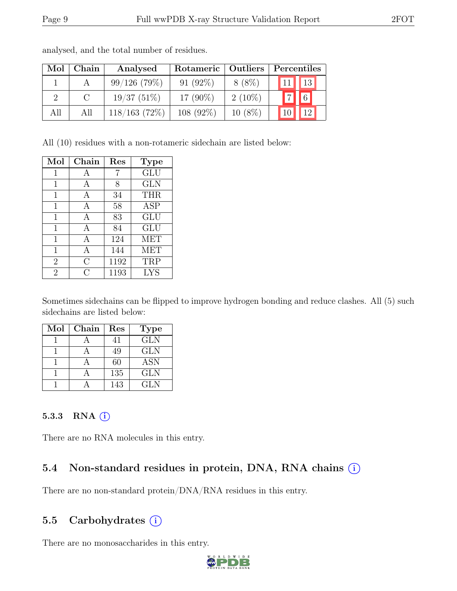| Mol | Chain    | Rotameric   Outliers  <br>Analysed |             | Percentiles |                                      |  |
|-----|----------|------------------------------------|-------------|-------------|--------------------------------------|--|
|     |          | $99/126$ (79%)                     | $91(92\%)$  | $8(8\%)$    | $11$   13                            |  |
|     | $\Gamma$ | 19/37(51%)                         | 17 $(90\%)$ | $2(10\%)$   | $\vert\vert\vert\vert$ 6<br>$ \tau $ |  |
| All | All      | 118/163(72%)                       | $108(92\%)$ | $10(8\%)$   | 19 <sup>°</sup>                      |  |

analysed, and the total number of residues.

All (10) residues with a non-rotameric sidechain are listed below:

| Mol            | Chain | Res  | <b>Type</b> |
|----------------|-------|------|-------------|
| 1              | А     |      | GLU         |
| 1              | А     | 8    | <b>GLN</b>  |
| $\mathbf{1}$   | A     | 34   | <b>THR</b>  |
| 1              | A     | 58   | <b>ASP</b>  |
| $\mathbf{1}$   | А     | 83   | <b>GLU</b>  |
| $\mathbf{1}$   | А     | 84   | GLU         |
| 1              | A     | 124  | <b>MET</b>  |
| $\mathbf{1}$   | A     | 144  | <b>MET</b>  |
| $\overline{2}$ | С     | 1192 | TRP         |
| $\overline{2}$ | C     | 1193 | <b>LYS</b>  |

Sometimes sidechains can be flipped to improve hydrogen bonding and reduce clashes. All (5) such sidechains are listed below:

| Mol | Chain | Res | <b>Type</b> |
|-----|-------|-----|-------------|
|     |       | 41  | <b>GLN</b>  |
|     |       | 49  | <b>GLN</b>  |
|     |       | 60  | <b>ASN</b>  |
|     |       | 135 | <b>GLN</b>  |
|     |       | 143 | GLN         |

#### 5.3.3 RNA  $(i)$

There are no RNA molecules in this entry.

## 5.4 Non-standard residues in protein, DNA, RNA chains  $(i)$

There are no non-standard protein/DNA/RNA residues in this entry.

## 5.5 Carbohydrates  $(i)$

There are no monosaccharides in this entry.

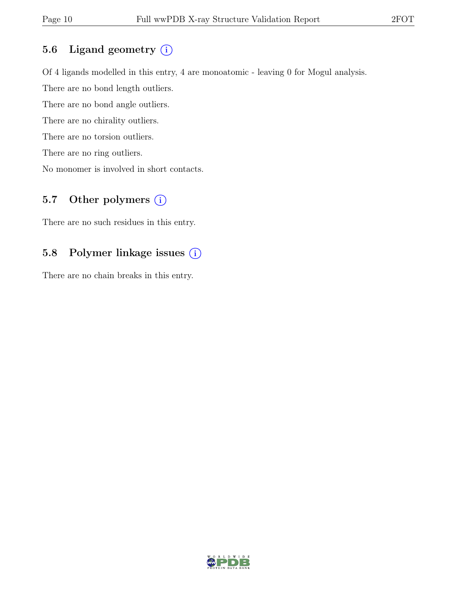### 5.6 Ligand geometry  $(i)$

Of 4 ligands modelled in this entry, 4 are monoatomic - leaving 0 for Mogul analysis. There are no bond length outliers. There are no bond angle outliers. There are no chirality outliers. There are no torsion outliers. There are no ring outliers. No monomer is involved in short contacts.

### 5.7 Other polymers  $(i)$

There are no such residues in this entry.

### 5.8 Polymer linkage issues (i)

There are no chain breaks in this entry.

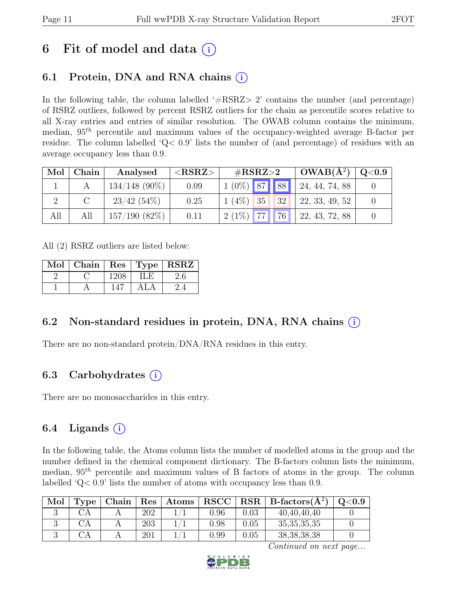# 6 Fit of model and data  $(i)$

## 6.1 Protein, DNA and RNA chains  $(i)$

In the following table, the column labelled  $#RSRZ>2$  contains the number (and percentage) of RSRZ outliers, followed by percent RSRZ outliers for the chain as percentile scores relative to all X-ray entries and entries of similar resolution. The OWAB column contains the minimum, median,  $95<sup>th</sup>$  percentile and maximum values of the occupancy-weighted average B-factor per residue. The column labelled 'Q< 0.9' lists the number of (and percentage) of residues with an average occupancy less than 0.9.

| Mol | Chain | Analysed        | ${ <\hspace{-1.5pt}{\mathrm{RSRZ}} \hspace{-1.5pt}>}$ | $\#\text{RSRZ}\text{>2}$ | $\text{OWAB}(\AA^2)$ | $^+$ Q<0.9 $^+$ |
|-----|-------|-----------------|-------------------------------------------------------|--------------------------|----------------------|-----------------|
|     |       | $134/148$ (90%) | 0.09                                                  | $1(0\%)$ 87 88           | 24, 44, 74, 88       |                 |
|     |       | $23/42(54\%)$   | 0.25                                                  | $1(4\%)$ 35<br> 32       | 22, 33, 49, 52       |                 |
| All | All   | $157/190(82\%)$ | 0.11                                                  | $ 77 $ 76<br>$2(1\%)$    | 22, 43, 72, 88       |                 |

All (2) RSRZ outliers are listed below:

| Mol | Chain | $\operatorname{Res}$ | Type | $ $ RSRZ |  |
|-----|-------|----------------------|------|----------|--|
|     |       | 1208                 | ILE. |          |  |
|     |       |                      |      |          |  |

### 6.2 Non-standard residues in protein, DNA, RNA chains (i)

There are no non-standard protein/DNA/RNA residues in this entry.

### 6.3 Carbohydrates (i)

There are no monosaccharides in this entry.

### 6.4 Ligands  $(i)$

In the following table, the Atoms column lists the number of modelled atoms in the group and the number defined in the chemical component dictionary. The B-factors column lists the minimum, median,  $95<sup>th</sup>$  percentile and maximum values of B factors of atoms in the group. The column labelled 'Q< 0.9' lists the number of atoms with occupancy less than 0.9.

| Mol | l'vpe | Chain | $\operatorname{Res}$ | Atoms | ${\bf RSCC}$ |      | $RSR   B-factors(A^2)$ | $\mathrm{Q}{<}0.9$ |
|-----|-------|-------|----------------------|-------|--------------|------|------------------------|--------------------|
|     |       |       | 202                  |       | $0.96\,$     | 0.03 | 40,40,40,40            |                    |
|     |       |       | 203                  |       | 0.98         | 0.05 | 35, 35, 35, 35         |                    |
|     |       |       | 201                  |       | 0.99         | 0.05 | 38, 38, 38, 38         |                    |

Continued on next page...